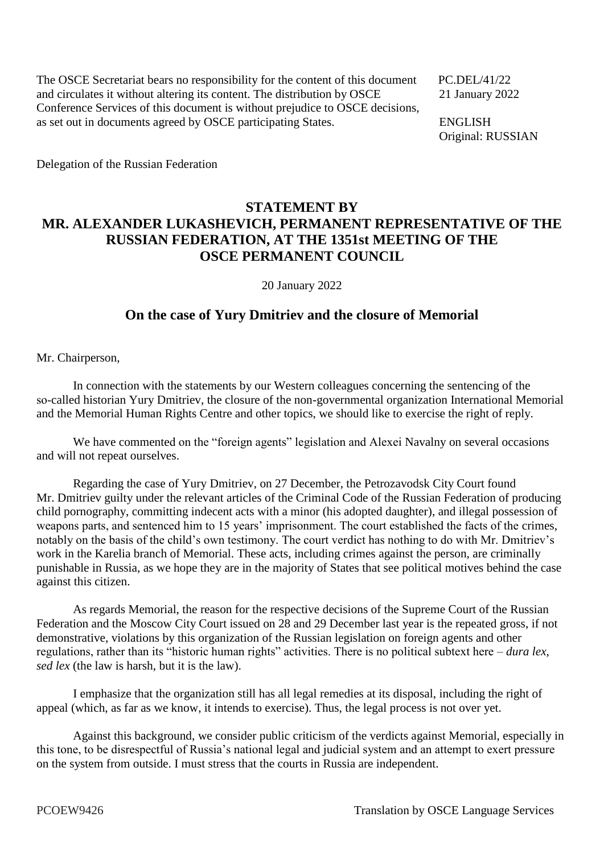The OSCE Secretariat bears no responsibility for the content of this document PC.DEL/41/22 and circulates it without altering its content. The distribution by OSCE 21 January 2022 Conference Services of this document is without prejudice to OSCE decisions, as set out in documents agreed by OSCE participating States. ENGLISH

Original: RUSSIAN

Delegation of the Russian Federation

## **STATEMENT BY MR. ALEXANDER LUKASHEVICH, PERMANENT REPRESENTATIVE OF THE RUSSIAN FEDERATION, AT THE 1351st MEETING OF THE OSCE PERMANENT COUNCIL**

20 January 2022

## **On the case of Yury Dmitriev and the closure of Memorial**

Mr. Chairperson,

In connection with the statements by our Western colleagues concerning the sentencing of the so-called historian Yury Dmitriev, the closure of the non-governmental organization International Memorial and the Memorial Human Rights Centre and other topics, we should like to exercise the right of reply.

We have commented on the "foreign agents" legislation and Alexei Navalny on several occasions and will not repeat ourselves.

Regarding the case of Yury Dmitriev, on 27 December, the Petrozavodsk City Court found Mr. Dmitriev guilty under the relevant articles of the Criminal Code of the Russian Federation of producing child pornography, committing indecent acts with a minor (his adopted daughter), and illegal possession of weapons parts, and sentenced him to 15 years' imprisonment. The court established the facts of the crimes, notably on the basis of the child's own testimony. The court verdict has nothing to do with Mr. Dmitriev's work in the Karelia branch of Memorial. These acts, including crimes against the person, are criminally punishable in Russia, as we hope they are in the majority of States that see political motives behind the case against this citizen.

As regards Memorial, the reason for the respective decisions of the Supreme Court of the Russian Federation and the Moscow City Court issued on 28 and 29 December last year is the repeated gross, if not demonstrative, violations by this organization of the Russian legislation on foreign agents and other regulations, rather than its "historic human rights" activities. There is no political subtext here – *dura lex, sed lex* (the law is harsh, but it is the law).

I emphasize that the organization still has all legal remedies at its disposal, including the right of appeal (which, as far as we know, it intends to exercise). Thus, the legal process is not over yet.

Against this background, we consider public criticism of the verdicts against Memorial, especially in this tone, to be disrespectful of Russia's national legal and judicial system and an attempt to exert pressure on the system from outside. I must stress that the courts in Russia are independent.